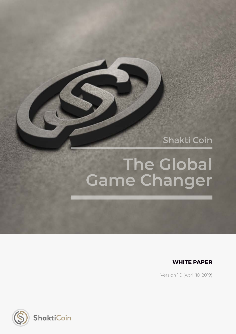Shakti Coin

## **The Global Game Changer**



Version 1.0 (April 18, 2019)

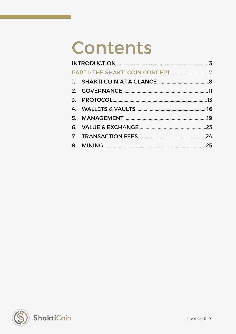# Contents

<span id="page-1-0"></span>

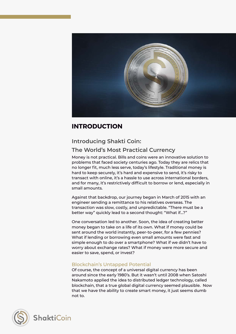

## <span id="page-2-0"></span>**INTRODUCTION**

## **Introducing Shakti Coin:**

## **The World's Most Practical Currency**

Money is not practical. Bills and coins were an innovative solution to problems that faced society centuries ago. Today they are relics that no longer fit, much less serve, today's lifestyle. Traditional money is hard to keep securely, it's hard and expensive to send, it's risky to transact with online, it's a hassle to use across international borders, and for many, it's restrictively difficult to borrow or lend, especially in small amounts.

Against that backdrop, our journey began in March of 2015 with an engineer sending a remittance to his relatives overseas. The transaction was slow, costly, and unpredictable. "There must be a better way" quickly lead to a second thought: "What if…?"

One conversation led to another. Soon, the idea of creating better money began to take on a life of its own. What if money could be sent around the world instantly, peer-to-peer, for a few pennies? What if lending or borrowing even small amounts were fast and simple enough to do over a smartphone? What if we didn't have to worry about exchange rates? What if money were more secure and easier to save, spend, or invest?

## Blockchain's Untapped Potential

Of course, the concept of a universal digital currency has been around since the early 1980's. But it wasn't until 2008 when Satoshi Nakamoto applied the idea to distributed ledger technology, called blockchain, that a true global digital currency seemed plausible. Now that we have the ability to create smart money, it just seems dumb not to.



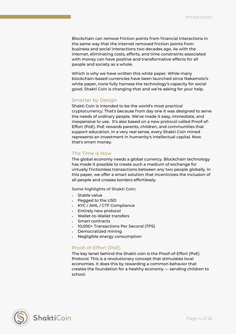Blockchain can remove friction points from financial interactions in the same way that the internet removed friction points from business and social interactions two decades ago. As with the internet, eliminating costs, efforts, and time constraints associated with money can have positive and transformative effects for all people and society as a whole.

Which is why we have written this white paper. While many blockchain-based currencies have been launched since Nakamoto's white paper, none fully harness the technology's capacity for social good. Shakti Coin is changing that and we're asking for your help.

#### Smarter by Design

Shakti Coin is intended to be the world's most practical cryptocurrency. That's because from day one it was designed to serve the needs of ordinary people. We've made it easy, immediate, and inexpensive to use. It's also based on a new protocol called Proof-of-Effort (PoE). PoE rewards parents, children, and communities that support education. In a very real sense, every Shakti Coin mined represents an investment in humanity's intellectual capital. Now that's smart money.

## The Time is Now

The global economy needs a global currency. Blockchain technology has made it possible to create such a medium of exchange for virtually frictionless transactions between any two people globally. In this paper, we offer a smart solution that incentivizes the inclusion of all people and crosses borders effortlessly.

**Some highlights of Shakti Coin:** 

- Stable value
- Pegged to the USD
- KYC / AML / CTF Compliance
- Entirely new protocol
- Wallet-to-Wallet transfers
- Smart contracts
- 10,000+ Transactions Per Second (TPS)
- Democratized mining
- Negligible energy consumption

## Proof-of-Effort (PoE)

The key tenet behind the Shakti coin is the Proof-of-Effort (PoE) Protocol. This is a revolutionary concept that stimulates local economies. It does this by rewarding a common behavior that creates the foundation for a healthy economy — sending children to school.

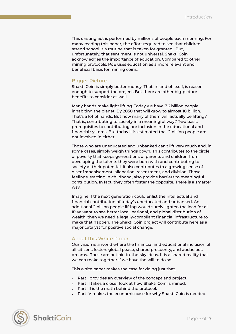This unsung act is performed by millions of people each morning. For many reading this paper, the effort required to see that children attend school is a routine that is taken for granted. But, unfortunately, that sentiment is not universal. Shakti Coin acknowledges the importance of education. Compared to other mining protocols, PoE uses education as a more relevant and beneficial basis for mining coins.

#### Bigger Picture

Shakti Coin is simply better money. That, in and of itself, is reason enough to support the project. But there are other big-picture benefits to consider as well.

Many hands make light lifting. Today we have 7.6 billion people inhabiting the planet. By 2050 that will grow to almost 10 billion. That's a lot of hands. But how many of them will actually be lifting? That is, contributing to society in a meaningful way? Two basic prerequisites to contributing are inclusion in the educational and financial systems. But today it is estimated that 2 billion people are not involved in either.

Those who are uneducated and unbanked can't lift very much and, in some cases, simply weigh things down. This contributes to the circle of poverty that keeps generations of parents and children from developing the talents they were born with and contributing to society at their potential. It also contributes to a growing sense of disenfranchisement, alienation, resentment, and division. Those feelings, starting in childhood, also provide barriers to meaningful contribution. In fact, they often foster the opposite. There is a smarter way.

Imagine if the next generation could enlist the intellectual and financial contribution of today's uneducated and unbanked. An additional 2 billion people lifting would surely lighten the load for all. If we want to see better local, national, and global distribution of wealth, then we need a legally-compliant financial infrastructure to make that happen. The Shakti Coin project will contribute here as a major catalyst for positive social change.

#### About this White Paper

Our vision is a world where the financial and educational inclusion of all citizens fosters global peace, shared prosperity, and audacious dreams. These are not pie-in-the-sky ideas. It is a shared reality that we can make together if we have the will to do so.

This white paper makes the case for doing just that.

- Part I provides an overview of the concept and project.
- Part II takes a closer look at how Shakti Coin is mined.
- Part III is the math behind the protocol.
- Part IV makes the economic case for why Shakti Coin is needed.

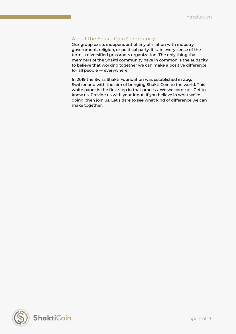## About the Shakti Coin Community

Our group exists independent of any affiliation with industry, government, religion, or political party. It is, in every sense of the term, a diversified grassroots organization. The only thing that members of the Shakti community have in common is the audacity to believe that working together we can make a positive difference for all people — everywhere.

In 2019 the Swiss Shakti Foundation was established in Zug, Switzerland with the aim of bringing Shakti Coin to the world. This white paper is the first step in that process. We welcome all. Get to know us. Provide us with your input. If you believe in what we're doing, then join us. Let's dare to see what kind of difference we can make together.

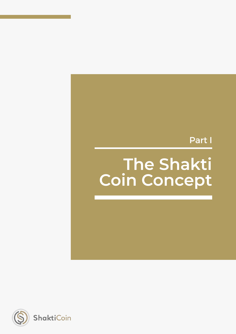## Part I

## **The Shakti Coin Concept**

<span id="page-6-0"></span>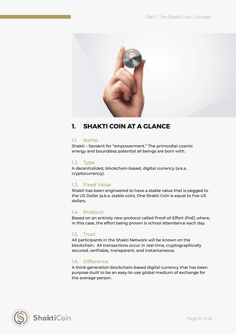

## <span id="page-7-0"></span>**1. SHAKTI COIN AT A GLANCE**

## 1.1. Name

Shakti – Sanskrit for "empowerment." The primordial cosmic energy and boundless potential all beings are born with.

## 1.2. Type

A decentralized, blockchain-based, digital currency (a.k.a. cryptocurrency).

## 1.3. Fixed Value

Shakti has been engineered to have a stable value that is pegged to the US Dollar (a.k.a. stable coin). One Shakti Coin is equal to five US dollars.

## 1.4. Protocol

Based on an entirely new protocol called Proof-of-Effort (PoE) where, in this case, the effort being proven is school attendance each day.

## 1.5. Trust

All participants in the Shakti Network will be known on the blockchain. All transactions occur in real time, cryptographically secured, verifiable, transparent, and instantaneous.

## 1.6. Difference

A third-generation blockchain-based digital currency that has been purpose-built to be an easy-to-use global medium of exchange for the average person.



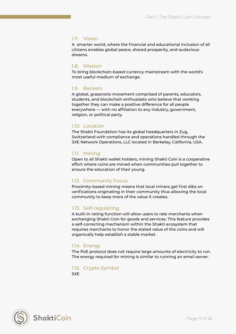## 1.7. Vision

A smarter world, where the financial and educational inclusion of all citizens enables global peace, shared prosperity, and audacious dreams.

### 1.8. Mission

To bring blockchain-based currency mainstream with the world's most useful medium of exchange.

#### 1.9. Backers

A global, grassroots movement comprised of parents, educators, students, and blockchain enthusiasts who believe that working together they can make a positive difference for all people everywhere — with no affiliation to any industry, government, religion, or political party.

#### 1.10. Location

The Shakti Foundation has its global headquarters in Zug, Switzerland with compliance and operations handled through the SXE Network Operations, LLC located in Berkeley, California, USA.

#### 1.11. Mining

Open to all Shakti wallet holders, mining Shakti Coin is a cooperative effort where coins are mined when communities pull together to ensure the education of their young.

## 1.12. Community Focus

Proximity-based mining means that local miners get first dibs on verifications originating in their community thus allowing the local community to keep more of the value it creates.

## 1.13. Self-regulating

A built-in rating function will allow users to rate merchants when exchanging Shakti Coin for goods and services. This feature provides a self-correcting mechanism within the Shakti ecosystem that requires merchants to honor the stated value of the coins and will organically help establish a stable market.

#### 1.14. Energy

The PoE protocol does not require large amounts of electricity to run. The energy required for mining is similar to running an email server.

#### 1.15. Crypto Symbol

SXE



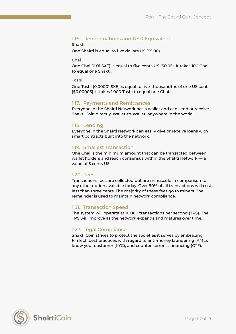## 1.16. Denominations and USD Equivalent

#### **Shakti**

One Shakti is equal to five dollars US (\$5.00).

#### **Chai**

One Chai (0.01 SXE) is equal to five cents US (\$0.05). It takes 100 Chai to equal one Shakti.

#### **Toshi**

One Toshi (0.00001 SXE) is equal to five-thousandths of one US cent (\$0.00005). It takes 1,000 Toshi to equal one Chai.

## 1.17. Payments and Remittances

Everyone in the Shakti Network has a wallet and can send or receive Shakti Coin directly, Wallet-to-Wallet, anywhere in the world.

## 1.18. Lending

Everyone in the Shakti Network can easily give or receive loans with smart contracts built into the network.

## 1.19. Smallest Transaction

One Chai is the minimum amount that can be transacted between wallet holders and reach consensus within the Shakti Network — a value of 5 cents US.

## 1.20. Fees

Transactions fees are collected but are minuscule in comparison to any other option available today. Over 90% of all transactions will cost less than three cents. The majority of these fees go to miners. The remainder is used to maintain network compliance.

## 1.21. Transaction Speed

The system will operate at 10,000 transactions per second (TPS). The TPS will improve as the network expands and matures over time.

## 1.22. Legal Compliance

Shakti Coin strives to protect the societies it serves by embracing FinTech best practices with regard to anti-money laundering (AML), know your customer (KYC), and counter-terrorist financing (CTF).

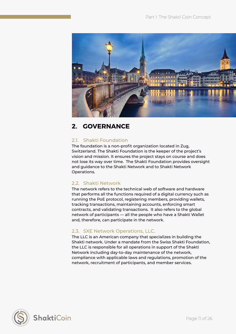

## <span id="page-10-0"></span>**2. GOVERNANCE**

## 2.1. Shakti Foundation

The foundation is a non-profit organization located in Zug, Switzerland. The Shakti Foundation is the keeper of the project's vision and mission. It ensures the project stays on course and does not lose its way over time. The Shakti Foundation provides oversight and guidance to the Shakti Network and to Shakti Network Operations.

## 2.2. Shakti Network

The network refers to the technical web of software and hardware that performs all the functions required of a digital currency such as running the PoE protocol, registering members, providing wallets, tracking transactions, maintaining accounts, enforcing smart contracts, and validating transactions. It also refers to the global network of participants — all the people who have a Shakti Wallet and, therefore, can participate in the network.

## 2.3. SXE Network Operations, LLC.

The LLC is an American company that specializes in building the Shakti network. Under a mandate from the Swiss Shakti Foundation, the LLC is responsible for all operations in support of the Shakti Network including day-to-day maintenance of the network, compliance with applicable laws and regulations, promotion of the network, recruitment of participants, and member services.

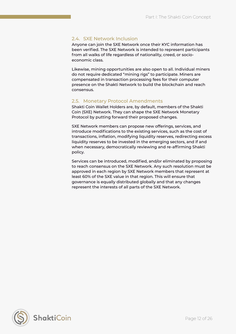## 2.4. SXE Network Inclusion

Anyone can join the SXE Network once their KYC information has been verified. The SXE Network is intended to represent participants from all walks of life regardless of nationality, creed, or socioeconomic class.

Likewise, mining opportunities are also open to all. Individual miners do not require dedicated "mining rigs" to participate. Miners are compensated in transaction processing fees for their computer presence on the Shakti Network to build the blockchain and reach consensus.

## 2.5. Monetary Protocol Amendments

Shakti Coin Wallet Holders are, by default, members of the Shakti Coin (SXE) Network. They can shape the SXE Network Monetary Protocol by putting forward their proposed changes.

SXE Network members can propose new offerings, services, and introduce modifications to the existing services, such as the cost of transactions, inflation, modifying liquidity reserves, redirecting excess liquidity reserves to be invested in the emerging sectors, and if and when necessary, democratically reviewing and re-affirming Shakti policy.

Services can be introduced, modified, and/or eliminated by proposing to reach consensus on the SXE Network. Any such resolution must be approved in each region by SXE Network members that represent at least 60% of the SXE value in that region. This will ensure that governance is equally distributed globally and that any changes represent the interests of all parts of the SXE Network.

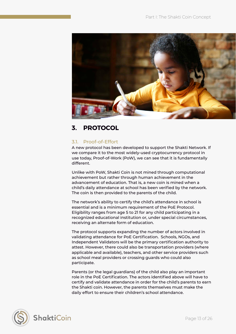

## <span id="page-12-0"></span>**3. PROTOCOL**

## 3.1. Proof-of-Effort

A new protocol has been developed to support the Shakti Network. If we compare it to the most widely-used cryptocurrency protocol in use today, Proof-of-Work (PoW), we can see that it is fundamentally different.

Unlike with PoW, Shakti Coin is not mined through computational achievement but rather through human achievement in the advancement of education. That is, a new coin is mined when a child's daily attendance at school has been verified by the network. The coin is then provided to the parents of the child.

The network's ability to certify the child's attendance in school is essential and is a minimum requirement of the PoE Protocol. Eligibility ranges from age 5 to 21 for any child participating in a recognized educational institution or, under special circumstances, receiving an alternate form of education.

The protocol supports expanding the number of actors involved in validating attendance for PoE Certification. Schools, NGOs, and Independent Validators will be the primary certification authority to attest. However, there could also be transportation providers (where applicable and available), teachers, and other service providers such as school meal providers or crossing guards who could also participate.

Parents (or the legal guardians) of the child also play an important role in the PoE Certification. The actors identified above will have to certify and validate attendance in order for the child's parents to earn the Shakti coin. However, the parents themselves must make the daily effort to ensure their children's school attendance.



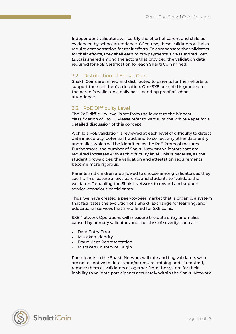Independent validators will certify the effort of parent and child as evidenced by school attendance. Of course, these validators will also require compensation for their efforts. To compensate the validators for their efforts, they shall earn micro-payments. Five Hundred Toshi (2.5¢) is shared among the actors that provided the validation data required for PoE Certification for each Shakti Coin mined.

## 3.2. Distribution of Shakti Coin

Shakti Coins are mined and distributed to parents for their efforts to support their children's education. One SXE per child is granted to the parent's wallet on a daily basis pending proof of school attendance.

## 3.3. PoE Difficulty Level

The PoE difficulty level is set from the lowest to the highest classification of 1 to 8. Please refer to Part III of the White Paper for a detailed discussion of this concept.

A child's PoE validation is reviewed at each level of difficulty to detect data inaccuracy, potential fraud, and to correct any other data entry anomalies which will be identified as the PoE Protocol matures. Furthermore, the number of Shakti Network validators that are required increases with each difficulty level. This is because, as the student grows older, the validation and attestation requirements become more rigorous.

Parents and children are allowed to choose among validators as they see fit. This feature allows parents and students to "validate the validators," enabling the Shakti Network to reward and support service-conscious participants.

Thus, we have created a peer-to-peer market that is organic, a system that facilitates the evolution of a Shakti Exchange for learning, and educational services that are offered for SXE coins.

SXE Network Operations will measure the data entry anomalies caused by primary validators and the class of severity, such as:

- Data Entry Error
- Mistaken Identity
- Fraudulent Representation
- Mistaken Country of Origin

Participants in the Shakti Network will rate and flag validators who are not attentive to details and/or require training and, if required, remove them as validators altogether from the system for their inability to validate participants accurately within the Shakti Network.

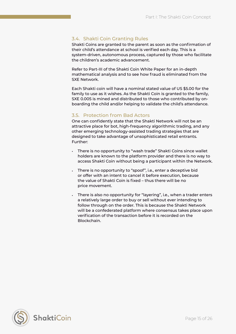## 3.4. Shakti Coin Granting Rules

Shakti Coins are granted to the parent as soon as the confirmation of their child's attendance at school is verified each day. This is a system-driven, autonomous process, captured by those who facilitate the children's academic advancement.

Refer to Part-III of the Shakti Coin White Paper for an in-depth mathematical analysis and to see how fraud is eliminated from the SXE Network.

Each Shakti coin will have a nominal stated value of US \$5.00 for the family to use as it wishes. As the Shakti Coin is granted to the family, SXE 0.005 is mined and distributed to those who contributed by onboarding the child and/or helping to validate the child's attendance.

## 3.5. Protection from Bad Actors

One can confidently state that the Shakti Network will not be an attractive place for bot, high-frequency algorithmic trading, and any other emerging technology-assisted trading strategies that are designed to take advantage of unsophisticated retail entrants. Further:

- There is no opportunity to "wash trade" Shakti Coins since wallet holders are known to the platform provider and there is no way to access Shakti Coin without being a participant within the Network.
- There is no opportunity to "spoof", i.e., enter a deceptive bid or offer with an intent to cancel it before execution, because the value of Shakti Coin is fixed – thus there will be no price movement.
- There is also no opportunity for "layering", i.e., when a trader enters a relatively large order to buy or sell without ever intending to follow through on the order. This is because the Shakti Network will be a confederated platform where consensus takes place upon verification of the transaction before it is recorded on the Blockchain.

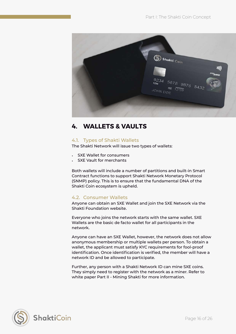

## <span id="page-15-0"></span>**4. WALLETS & VAULTS**

## 4.1. Types of Shakti Wallets

The Shakti Network will issue two types of wallets:

- **SXE Wallet for consumers**
- **SXE Vault for merchants**

Both wallets will include a number of partitions and built-in Smart Contract functions to support Shakti Network Monetary Protocol (SNMP) policy. This is to ensure that the fundamental DNA of the Shakti Coin ecosystem is upheld.

## 4.2. Consumer Wallets

Anyone can obtain an SXE Wallet and join the SXE Network via the Shakti Foundation website.

Everyone who joins the network starts with the same wallet. SXE Wallets are the basic de facto wallet for all participants in the network.

Anyone can have an SXE Wallet, however, the network does not allow anonymous membership or multiple wallets per person. To obtain a wallet, the applicant must satisfy KYC requirements for fool-proof identification. Once identification is verified, the member will have a network ID and be allowed to participate.

Further, any person with a Shakti Network ID can mine SXE coins. They simply need to register with the network as a miner. Refer to white paper Part II - Mining Shakti for more information.

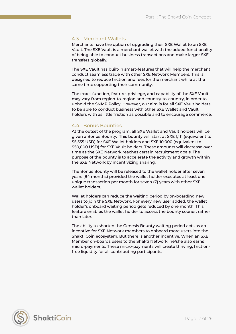## 4.3. Merchant Wallets

Merchants have the option of upgrading their SXE Wallet to an SXE Vault. The SXE Vault is a merchant wallet with the added functionality of being able to conduct business transactions and make larger SXE transfers globally.

The SXE Vault has built-in smart-features that will help the merchant conduct seamless trade with other SXE Network Members. This is designed to reduce friction and fees for the merchant while at the same time supporting their community.

The exact function, feature, privilege, and capability of the SXE Vault may vary from region-to-region and country-to-country, in order to uphold the SNMP Policy. However, our aim is for all SXE Vault holders to be able to conduct business with other SXE Wallet and Vault holders with as little friction as possible and to encourage commerce.

## 4.4. Bonus Bounties

At the outset of the program, all SXE Wallet and Vault holders will be given a Bonus Bounty. This bounty will start at SXE 1,111 (equivalent to \$5,555 USD) for SXE Wallet holders and SXE 10,000 (equivalent to \$50,000 USD) for SXE Vault holders. These amounts will decrease over time as the SXE Network reaches certain recruitment goals. The purpose of the bounty is to accelerate the activity and growth within the SXE Network by incentivizing sharing.

The Bonus Bounty will be released to the wallet holder after seven years (84 months) provided the wallet holder executes at least one unique transaction per month for seven (7) years with other SXE wallet holders.

Wallet holders can reduce the waiting period by on-boarding new users to join the SXE Network. For every new user added, the wallet holder's onboard waiting period gets reduced by one month. This feature enables the wallet holder to access the bounty sooner, rather than later.

The ability to shorten the Genesis Bounty waiting period acts as an incentive for SXE Network members to onboard more users into the Shakti Coin ecosystem. But there is another incentive. When an SXE Member on-boards users to the Shakti Network, he/she also earns micro-payments. These micro-payments will create thriving, frictionfree liquidity for all contributing participants.

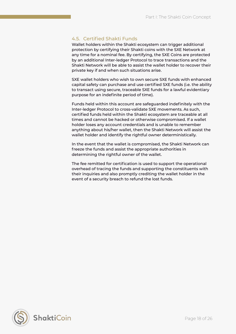## 4.5. Certified Shakti Funds

Wallet holders within the Shakti ecosystem can trigger additional protection by certifying their Shakti coins with the SXE Network at any time for a nominal fee. By certifying, the SXE Coins are protected by an additional Inter-ledger Protocol to trace transactions and the Shakti Network will be able to assist the wallet holder to recover their private key if and when such situations arise.

SXE wallet holders who wish to own secure SXE funds with enhanced capital safety can purchase and use certified SXE funds (i.e. the ability to transact using secure, traceable SXE funds for a lawful evidentiary purpose for an indefinite period of time).

Funds held within this account are safeguarded indefinitely with the Inter-ledger Protocol to cross-validate SXE movements. As such, certified funds held within the Shakti ecosystem are traceable at all times and cannot be hacked or otherwise compromised. If a wallet holder loses any account credentials and is unable to remember anything about his/her wallet, then the Shakti Network will assist the wallet holder and identify the rightful owner deterministically.

In the event that the wallet is compromised, the Shakti Network can freeze the funds and assist the appropriate authorities in determining the rightful owner of the wallet.

The fee remitted for certification is used to support the operational overhead of tracing the funds and supporting the constituents with their inquiries and also promptly crediting the wallet holder in the event of a security breach to refund the lost funds.

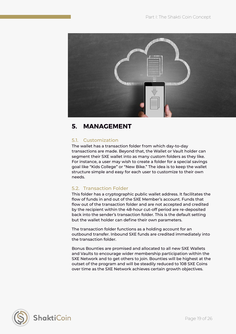

## <span id="page-18-0"></span>**5. MANAGEMENT**

## 5.1. Customization

The wallet has a transaction folder from which day-to-day transactions are made. Beyond that, the Wallet or Vault holder can segment their SXE wallet into as many custom folders as they like. For instance, a user may wish to create a folder for a special savings goal like "Kids College" or "New Bike." The idea is to keep the wallet structure simple and easy for each user to customize to their own needs.

## 5.2. Transaction Folder

This folder has a cryptographic public wallet address. It facilitates the flow of funds in and out of the SXE Member's account. Funds that flow out of the transaction folder and are not accepted and credited by the recipient within the 48-hour cut-off period are re-deposited back into the sender's transaction folder. This is the default setting but the wallet holder can define their own parameters.

The transaction folder functions as a holding account for an outbound transfer. Inbound SXE funds are credited immediately into the transaction folder.

Bonus Bounties are promised and allocated to all new SXE Wallets and Vaults to encourage wider membership participation within the SXE Network and to get others to join. Bounties will be highest at the outset of the program and will be steadily reduced to 108 SXE Coins over time as the SXE Network achieves certain growth objectives.

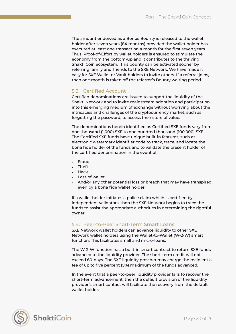The amount endowed as a Bonus Bounty is released to the wallet holder after seven years (84 months) provided the wallet holder has executed at least one transaction a month for the first seven years. Thus, Proof-of-Effort by wallet holders is ensured to stimulate the economy from the bottom-up and it contributes to the thriving Shakti Coin ecosystem. This bounty can be activated sooner by referring family and friends to the SXE Network. We have made it easy for SXE Wallet or Vault holders to invite others. If a referral joins, then one month is taken off the referrer's Bounty waiting period.

## 5.3. Certified Account

Certified denominations are issued to support the liquidity of the Shakti Network and to invite mainstream adoption and participation into this emerging medium of exchange without worrying about the intricacies and challenges of the cryptocurrency market, such as forgetting the password, to access their store of value.

The denominations herein identified as Certified SXE funds vary from one thousand (1,000) SXE to one hundred thousand (100,000) SXE. The Certified SXE funds have unique built-in features, such as electronic watermark identifier code to track, trace, and locate the bona fide holder of the funds and to validate the present holder of the certified denomination in the event of:

- Fraud
- Theft
- Hack
- Loss of wallet
- And/or any other potential loss or breach that may have transpired, even by a bona fide wallet holder.

If a wallet holder initiates a police claim which is certified by independent validators, then the SXE Network begins to trace the funds to assist the appropriate authorities in determining the rightful owner.

## 5.4. Peer-to-Peer Short-Term Smart Loans

SXE Network wallet holders can advance liquidity to other SXE Network wallet holders using the Wallet-to-Wallet (W-2-W) smart function. This facilitates small and micro-loans.

The W-2-W function has a built-in smart contract to return SXE funds advanced to the liquidity provider. The short-term credit will not exceed 60-days. The SXE liquidity provider may charge the recipient a fee of up to five percent (5%) maximum of the funds advanced.

In the event that a peer-to-peer liquidity provider fails to recover the short-term advancement, then the default provision of the liquidity provider's smart contact will facilitate the recovery from the default wallet holder.

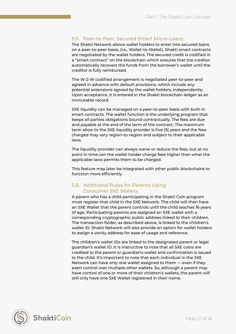## 5.5. Peer-to-Peer, Secured Smart Micro-Loans

The Shakti Network allows wallet holders to enter into secured loans on a peer-to-peer basis, (i.e., Wallet-to-Wallet). Shakti smart contracts are negotiated by the wallet holders. The secured credit is codified in a "smart contract" on the blockchain which ensures that the creditor automatically recovers the funds from the borrower's wallet until the creditor is fully reimbursed.

The W-2-W codified arrangement is negotiated peer-to-peer and agreed in advance with default provisions, which include any potential extensions agreed by the wallet holders, independently. Upon acceptance, it is entered in the Shakti blockchain ledger as an immutable record.

SXE liquidity can be managed on a peer-to-peer basis with built-in smart contracts. The wallet function is the underlying program that keeps all parties obligations bound contractually. The fees are due and payable at the end of the term of the contract. The maximum term allow to the SXE liquidity provider is five (5) years and the fees charged may vary region-to-region and subject to their applicable laws.

The liquidity provider can always waive or reduce the fees, but at no point in time can the wallet holder charge fees higher than what the applicable laws permits them to be charged.

This feature may later be integrated with other public blockchains to function more efficiently.

## 5.6. Additional Rules for Parents Using Consumer SXE Wallets

A parent who has a child participating in the Shakti Coin program must register that child in the SXE Network. The child will then have an SXE Wallet that the parent controls until the child reaches 16 years of age. Participating parents are assigned an SXE wallet with a corresponding cryptographic public address linked to their children. The transaction folder, as described above, is linked to the children's wallet ID. Shakti Network will also provide an option for wallet holders to assign a vanity address for ease of usage and reference.

The children's wallet IDs are linked to the designated parent or legal guardian's wallet ID. It is instructive to note that all SXE coins are credited to the parent or guardian's wallet and confirmation is issued to the child. It's important to note that each individual in the SXE Network can have only one wallet assigned to them — even if they exert control over multiple other wallets. So, although a parent may have control of one or more of their children's wallets, the parent will still only have one SXE Wallet registered in their name.

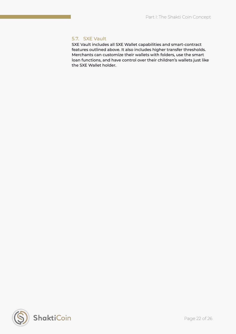## 5.7. SXE Vault

SXE Vault includes all SXE Wallet capabilities and smart-contract features outlined above. It also includes higher transfer thresholds. Merchants can customize their wallets with folders, use the smart loan functions, and have control over their children's wallets just like the SXE Wallet holder.

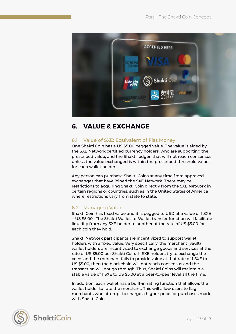

## <span id="page-22-0"></span>**6. VALUE & EXCHANGE**

## 6.1. Value of SXE: Equivalent of Fiat Money

One Shakti Coin has a US \$5.00 pegged value. The value is aided by the SXE Network certified currency holders, who are supporting the prescribed value, and the Shakti ledger, that will not reach consensus unless the value exchanged is within the prescribed threshold values for each wallet holder.

Any person can purchase Shakti Coins at any time from approved exchanges that have joined the SXE Network. There may be restrictions to acquiring Shakti Coin directly from the SXE Network in certain regions or countries, such as in the United States of America where restrictions vary from state to state.

## 6.2. Managing Value

Shakti Coin has fixed value and it is pegged to USD at a value of 1 SXE = US \$5.00. The Shakti Wallet-to-Wallet transfer function will facilitate liquidity from any SXE holder to another at the rate of US \$5.00 for each coin they hold.

Shakti Network participants are incentivized to support wallet holders with a fixed value. Very specifically, the merchant (vault) wallet holders are incentivized to exchange goods and services at the rate of US \$5.00 per Shakti Coin. If SXE holders try to exchange the coins and the merchant fails to provide value at that rate of 1 SXE to US \$5.00, then the blockchain will not reach consensus and the transaction will not go through. Thus, Shakti Coins will maintain a stable value of 1 SXE to US \$5.00 at a peer-to-peer level all the time.

In addition, each wallet has a built-in rating function that allows the wallet holder to rate the merchant. This will allow users to flag merchants who attempt to charge a higher price for purchases made with Shakti Coin.

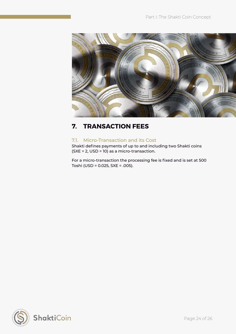

## <span id="page-23-0"></span>**7. TRANSACTION FEES**

## 7.1. Micro-Transaction and its Cost

Shakti defines payments of up to and including two Shakti coins (SXE = 2, USD = 10) as a micro-transaction.

For a micro-transaction the processing fee is fixed and is set at 500 Toshi (USD = 0.025, SXE = .005).

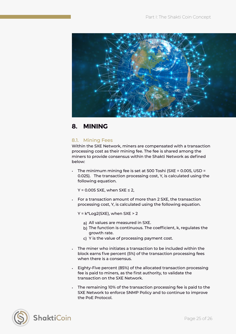

## <span id="page-24-0"></span>**8. MINING**

## 8.1. Mining Fees

Within the SXE Network, miners are compensated with a transaction processing cost as their mining fee. The fee is shared among the miners to provide consensus within the Shakti Network as defined below:

• The minimum mining fee is set at 500 Toshi (SXE = 0.005, USD = 0.025). The transaction processing cost, Y, is calculated using the following equation.

 $Y = 0.005$  SXE, when SXE  $\leq 2$ ,

• For a transaction amount of more than 2 SXE, the transaction processing cost, Y, is calculated using the following equation.

 $Y = k*Log2(SXE)$ , when SXE > 2

- a) All values are measured in SXE.
- b) The function is continuous. The coefficient, k, regulates the growth rate.
- c) Y is the value of processing payment cost.
- The miner who initiates a transaction to be included within the block earns five percent (5%) of the transaction processing fees when there is a consensus.
- Eighty-Five percent (85%) of the allocated transaction processing fee is paid to miners, as the first authority, to validate the transaction on the SXE Network.
- The remaining 10% of the transaction processing fee is paid to the SXE Network to enforce SNMP Policy and to continue to improve the PoE Protocol.